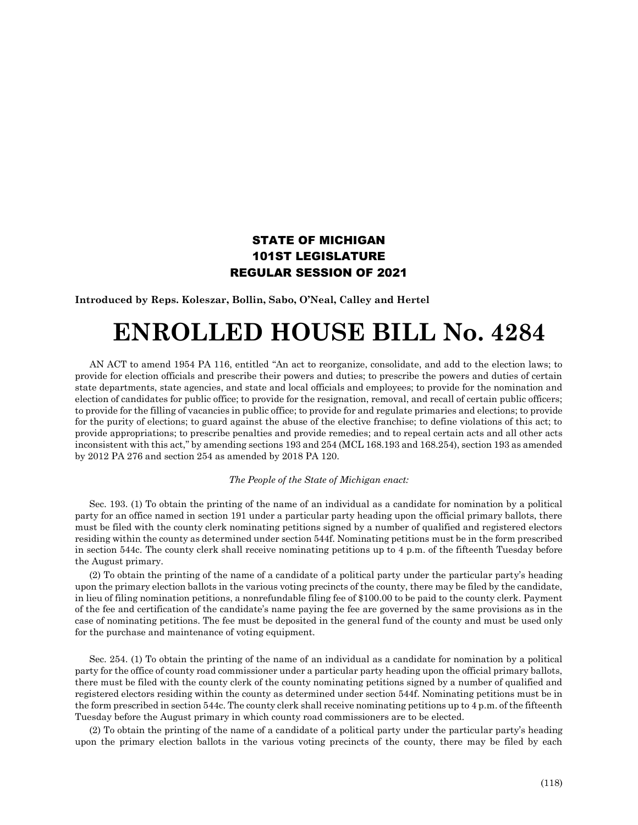## STATE OF MICHIGAN 101ST LEGISLATURE REGULAR SESSION OF 2021

**Introduced by Reps. Koleszar, Bollin, Sabo, O'Neal, Calley and Hertel**

## **ENROLLED HOUSE BILL No. 4284**

AN ACT to amend 1954 PA 116, entitled "An act to reorganize, consolidate, and add to the election laws; to provide for election officials and prescribe their powers and duties; to prescribe the powers and duties of certain state departments, state agencies, and state and local officials and employees; to provide for the nomination and election of candidates for public office; to provide for the resignation, removal, and recall of certain public officers; to provide for the filling of vacancies in public office; to provide for and regulate primaries and elections; to provide for the purity of elections; to guard against the abuse of the elective franchise; to define violations of this act; to provide appropriations; to prescribe penalties and provide remedies; and to repeal certain acts and all other acts inconsistent with this act," by amending sections 193 and 254 (MCL 168.193 and 168.254), section 193 as amended by 2012 PA 276 and section 254 as amended by 2018 PA 120.

## *The People of the State of Michigan enact:*

Sec. 193. (1) To obtain the printing of the name of an individual as a candidate for nomination by a political party for an office named in section 191 under a particular party heading upon the official primary ballots, there must be filed with the county clerk nominating petitions signed by a number of qualified and registered electors residing within the county as determined under section 544f. Nominating petitions must be in the form prescribed in section 544c. The county clerk shall receive nominating petitions up to 4 p.m. of the fifteenth Tuesday before the August primary.

(2) To obtain the printing of the name of a candidate of a political party under the particular party's heading upon the primary election ballots in the various voting precincts of the county, there may be filed by the candidate, in lieu of filing nomination petitions, a nonrefundable filing fee of \$100.00 to be paid to the county clerk. Payment of the fee and certification of the candidate's name paying the fee are governed by the same provisions as in the case of nominating petitions. The fee must be deposited in the general fund of the county and must be used only for the purchase and maintenance of voting equipment.

Sec. 254. (1) To obtain the printing of the name of an individual as a candidate for nomination by a political party for the office of county road commissioner under a particular party heading upon the official primary ballots, there must be filed with the county clerk of the county nominating petitions signed by a number of qualified and registered electors residing within the county as determined under section 544f. Nominating petitions must be in the form prescribed in section 544c. The county clerk shall receive nominating petitions up to 4 p.m. of the fifteenth Tuesday before the August primary in which county road commissioners are to be elected.

(2) To obtain the printing of the name of a candidate of a political party under the particular party's heading upon the primary election ballots in the various voting precincts of the county, there may be filed by each